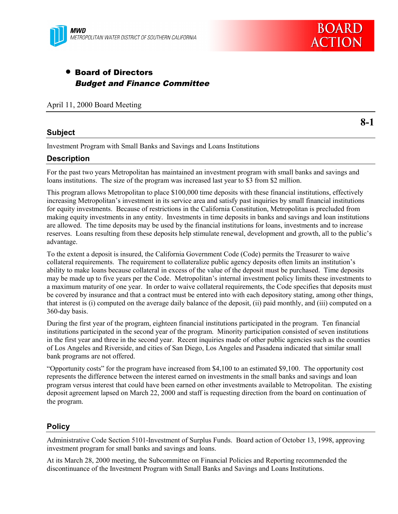

# • Board of Directors Budget and Finance Committee

April 11, 2000 Board Meeting

# **Subject**

**8-1**

Investment Program with Small Banks and Savings and Loans Institutions

### **Description**

For the past two years Metropolitan has maintained an investment program with small banks and savings and loans institutions. The size of the program was increased last year to \$3 from \$2 million.

This program allows Metropolitan to place \$100,000 time deposits with these financial institutions, effectively increasing Metropolitan's investment in its service area and satisfy past inquiries by small financial institutions for equity investments. Because of restrictions in the California Constitution, Metropolitan is precluded from making equity investments in any entity. Investments in time deposits in banks and savings and loan institutions are allowed. The time deposits may be used by the financial institutions for loans, investments and to increase reserves. Loans resulting from these deposits help stimulate renewal, development and growth, all to the public's advantage.

To the extent a deposit is insured, the California Government Code (Code) permits the Treasurer to waive collateral requirements. The requirement to collateralize public agency deposits often limits an institution's ability to make loans because collateral in excess of the value of the deposit must be purchased. Time deposits may be made up to five years per the Code. Metropolitan's internal investment policy limits these investments to a maximum maturity of one year. In order to waive collateral requirements, the Code specifies that deposits must be covered by insurance and that a contract must be entered into with each depository stating, among other things, that interest is (i) computed on the average daily balance of the deposit, (ii) paid monthly, and (iii) computed on a 360-day basis.

During the first year of the program, eighteen financial institutions participated in the program. Ten financial institutions participated in the second year of the program. Minority participation consisted of seven institutions in the first year and three in the second year. Recent inquiries made of other public agencies such as the counties of Los Angeles and Riverside, and cities of San Diego, Los Angeles and Pasadena indicated that similar small bank programs are not offered.

"Opportunity costs" for the program have increased from \$4,100 to an estimated \$9,100. The opportunity cost represents the difference between the interest earned on investments in the small banks and savings and loan program versus interest that could have been earned on other investments available to Metropolitan. The existing deposit agreement lapsed on March 22, 2000 and staff is requesting direction from the board on continuation of the program.

# **Policy**

Administrative Code Section 5101-Investment of Surplus Funds. Board action of October 13, 1998, approving investment program for small banks and savings and loans.

At its March 28, 2000 meeting, the Subcommittee on Financial Policies and Reporting recommended the discontinuance of the Investment Program with Small Banks and Savings and Loans Institutions.